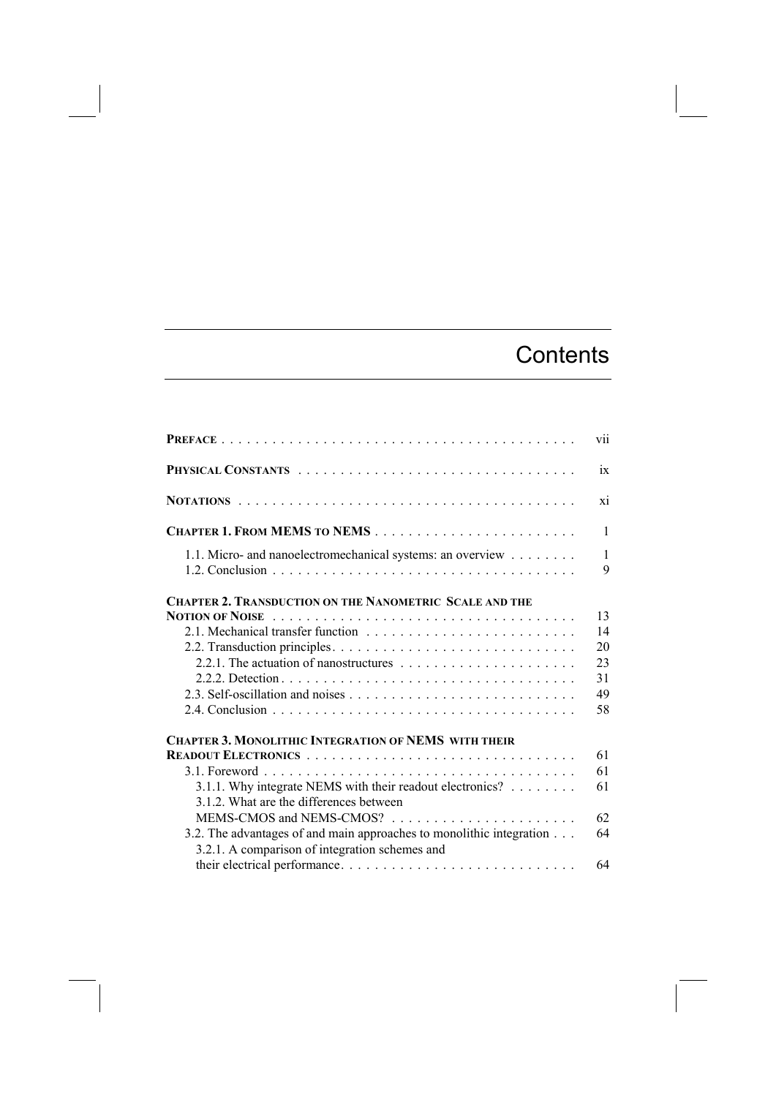## **Contents**

|                                                                                                      | vii               |
|------------------------------------------------------------------------------------------------------|-------------------|
|                                                                                                      | ix                |
|                                                                                                      | xi                |
|                                                                                                      | $\mathbf{1}$      |
| 1.1. Micro- and nanoelectromechanical systems: an overview                                           | $\mathbf{1}$<br>9 |
| <b>CHAPTER 2. TRANSDUCTION ON THE NANOMETRIC SCALE AND THE</b>                                       |                   |
| <b>NOTION OF NOISE</b>                                                                               | 13                |
|                                                                                                      | 14                |
|                                                                                                      | 20                |
|                                                                                                      | 23<br>31          |
|                                                                                                      | 49                |
|                                                                                                      | 58                |
|                                                                                                      |                   |
| <b>CHAPTER 3. MONOLITHIC INTEGRATION OF NEMS WITH THEIR</b>                                          |                   |
|                                                                                                      | 61<br>61          |
|                                                                                                      | 61                |
| 3.1.1. Why integrate NEMS with their readout electronics?<br>3.1.2. What are the differences between |                   |
|                                                                                                      | 62                |
| 3.2. The advantages of and main approaches to monolithic integration                                 | 64                |
| 3.2.1. A comparison of integration schemes and                                                       |                   |
|                                                                                                      | 64                |